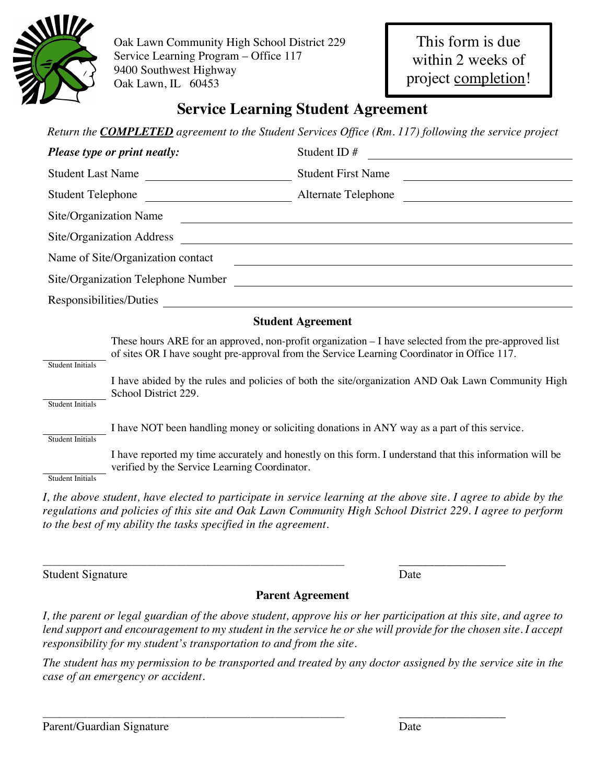

Oak Lawn Community High School District 229 Service Learning Program – Office 117 9400 Southwest Highway Oak Lawn, IL 60453

# **Service Learning Student Agreement**

*Return the COMPLETED agreement to the Student Services Office (Rm. 117) following the service project*

| Please type or print neatly: |                                                                                                                                                                                                       | Student ID#                                                                                                                                                                                                                   |  |  |  |  |
|------------------------------|-------------------------------------------------------------------------------------------------------------------------------------------------------------------------------------------------------|-------------------------------------------------------------------------------------------------------------------------------------------------------------------------------------------------------------------------------|--|--|--|--|
| <b>Student Last Name</b>     |                                                                                                                                                                                                       | <b>Student First Name</b>                                                                                                                                                                                                     |  |  |  |  |
| <b>Student Telephone</b>     |                                                                                                                                                                                                       | Alternate Telephone                                                                                                                                                                                                           |  |  |  |  |
| Site/Organization Name       |                                                                                                                                                                                                       |                                                                                                                                                                                                                               |  |  |  |  |
|                              | Site/Organization Address                                                                                                                                                                             |                                                                                                                                                                                                                               |  |  |  |  |
|                              | Name of Site/Organization contact                                                                                                                                                                     | the control of the control of the control of the control of the control of the control of the control of the control of the control of the control of the control of the control of the control of the control of the control |  |  |  |  |
|                              | Site/Organization Telephone Number                                                                                                                                                                    |                                                                                                                                                                                                                               |  |  |  |  |
| Responsibilities/Duties      |                                                                                                                                                                                                       |                                                                                                                                                                                                                               |  |  |  |  |
| <b>Student Agreement</b>     |                                                                                                                                                                                                       |                                                                                                                                                                                                                               |  |  |  |  |
| <b>Student Initials</b>      | These hours ARE for an approved, non-profit organization $-I$ have selected from the pre-approved list<br>of sites OR I have sought pre-approval from the Service Learning Coordinator in Office 117. |                                                                                                                                                                                                                               |  |  |  |  |
| <b>Student Initials</b>      | School District 229.                                                                                                                                                                                  | I have abided by the rules and policies of both the site/organization AND Oak Lawn Community High                                                                                                                             |  |  |  |  |
| <b>Student Initials</b>      |                                                                                                                                                                                                       | I have NOT been handling money or soliciting donations in ANY way as a part of this service.                                                                                                                                  |  |  |  |  |
| <b>Student Initials</b>      | verified by the Service Learning Coordinator.                                                                                                                                                         | I have reported my time accurately and honestly on this form. I understand that this information will be                                                                                                                      |  |  |  |  |

*I*, the above student, have elected to participate in service learning at the above site. I agree to abide by the *regulations and policies of this site and Oak Lawn Community High School District 229. I agree to perform to the best of my ability the tasks specified in the agreement.*

\_\_\_\_\_\_\_\_\_\_\_\_\_\_\_\_\_\_\_\_\_\_\_\_\_\_\_\_\_\_\_\_\_\_\_\_\_\_\_\_\_\_\_\_\_\_\_\_\_\_\_\_\_\_\_\_\_\_\_\_\_ \_\_\_\_\_\_\_\_\_\_\_\_\_\_\_\_\_\_ Student Signature Date

## **Parent Agreement**

*I, the parent or legal guardian of the above student, approve his or her participation at this site, and agree to lend support and encouragement to my student in the service he or she will provide for the chosen site. I accept responsibility for my student's transportation to and from the site.*

*The student has my permission to be transported and treated by any doctor assigned by the service site in the case of an emergency or accident.*

\_\_\_\_\_\_\_\_\_\_\_\_\_\_\_\_\_\_\_\_\_\_\_\_\_\_\_\_\_\_\_\_\_\_\_\_\_\_\_\_\_\_\_\_\_\_\_\_\_\_\_\_\_\_\_\_\_\_\_\_\_ \_\_\_\_\_\_\_\_\_\_\_\_\_\_\_\_\_\_